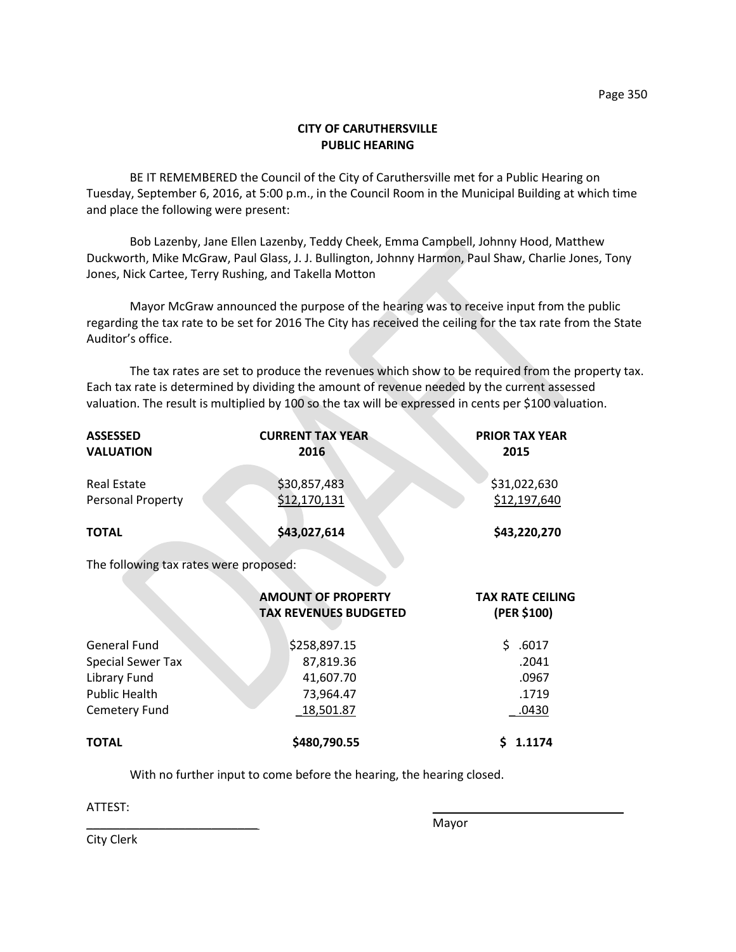## **CITY OF CARUTHERSVILLE PUBLIC HEARING**

BE IT REMEMBERED the Council of the City of Caruthersville met for a Public Hearing on Tuesday, September 6, 2016, at 5:00 p.m., in the Council Room in the Municipal Building at which time and place the following were present:

Bob Lazenby, Jane Ellen Lazenby, Teddy Cheek, Emma Campbell, Johnny Hood, Matthew Duckworth, Mike McGraw, Paul Glass, J. J. Bullington, Johnny Harmon, Paul Shaw, Charlie Jones, Tony Jones, Nick Cartee, Terry Rushing, and Takella Motton

Mayor McGraw announced the purpose of the hearing was to receive input from the public regarding the tax rate to be set for 2016 The City has received the ceiling for the tax rate from the State Auditor's office.

The tax rates are set to produce the revenues which show to be required from the property tax. Each tax rate is determined by dividing the amount of revenue needed by the current assessed valuation. The result is multiplied by 100 so the tax will be expressed in cents per \$100 valuation.

| <b>ASSESSED</b><br><b>VALUATION</b>    | <b>CURRENT TAX YEAR</b><br>2016                           | <b>PRIOR TAX YEAR</b><br>2015          |
|----------------------------------------|-----------------------------------------------------------|----------------------------------------|
| <b>Real Estate</b>                     | \$30,857,483                                              | \$31,022,630                           |
| Personal Property                      | \$12,170,131                                              | \$12,197,640                           |
| <b>TOTAL</b>                           | \$43,027,614                                              | \$43,220,270                           |
| The following tax rates were proposed: |                                                           |                                        |
|                                        | <b>AMOUNT OF PROPERTY</b><br><b>TAX REVENUES BUDGETED</b> | <b>TAX RATE CEILING</b><br>(PER \$100) |
| <b>General Fund</b>                    | \$258,897.15                                              | \$<br>.6017                            |
| <b>Special Sewer Tax</b>               | 87,819.36                                                 | .2041                                  |
| Library Fund                           | 41,607.70                                                 | .0967                                  |
| <b>Public Health</b>                   | 73,964.47                                                 | .1719                                  |
| Cemetery Fund                          | 18,501.87                                                 | .0430                                  |
| <b>TOTAL</b>                           | \$480,790.55                                              | 1.1174<br>Ś                            |

With no further input to come before the hearing, the hearing closed.

 $\textrm{ATTEST:}$ 

\_\_\_\_\_\_\_\_\_\_\_\_\_\_\_\_\_\_\_\_\_\_\_\_\_\_ Mayor

City Clerk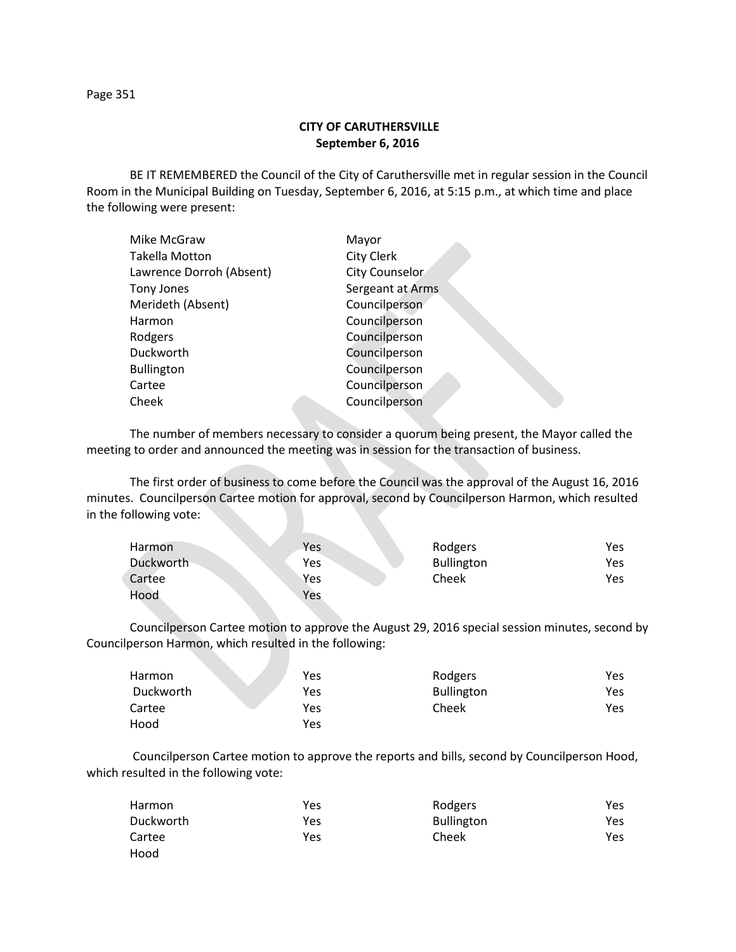Page 351

## **CITY OF CARUTHERSVILLE September 6, 2016**

BE IT REMEMBERED the Council of the City of Caruthersville met in regular session in the Council Room in the Municipal Building on Tuesday, September 6, 2016, at 5:15 p.m., at which time and place the following were present:

| Mike McGraw              | Mayor                 |
|--------------------------|-----------------------|
| Takella Motton           | <b>City Clerk</b>     |
| Lawrence Dorroh (Absent) | <b>City Counselor</b> |
| <b>Tony Jones</b>        | Sergeant at Arms      |
| Merideth (Absent)        | Councilperson         |
| Harmon                   | Councilperson         |
| Rodgers                  | Councilperson         |
| Duckworth                | Councilperson         |
| <b>Bullington</b>        | Councilperson         |
| Cartee                   | Councilperson         |
| Cheek                    | Councilperson         |
|                          |                       |

The number of members necessary to consider a quorum being present, the Mayor called the meeting to order and announced the meeting was in session for the transaction of business.

The first order of business to come before the Council was the approval of the August 16, 2016 minutes. Councilperson Cartee motion for approval, second by Councilperson Harmon, which resulted in the following vote:

| Harmon    | Yes | Rodgers           | Yes |
|-----------|-----|-------------------|-----|
| Duckworth | Yes | <b>Bullington</b> | Yes |
| Cartee    | Yes | Cheek             | Yes |
| Hood      | Yes |                   |     |

Councilperson Cartee motion to approve the August 29, 2016 special session minutes, second by Councilperson Harmon, which resulted in the following:

| Harmon    | Yes | Rodgers           | Yes |
|-----------|-----|-------------------|-----|
| Duckworth | Yes | <b>Bullington</b> | Yes |
| Cartee    | Yes | Cheek             | Yes |
| Hood      | Yes |                   |     |

Councilperson Cartee motion to approve the reports and bills, second by Councilperson Hood, which resulted in the following vote:

| Harmon           | Yes | Rodgers           | Yes |
|------------------|-----|-------------------|-----|
| <b>Duckworth</b> | Yes | <b>Bullington</b> | Yes |
| Cartee           | Yes | Cheek             | Yes |
| Hood             |     |                   |     |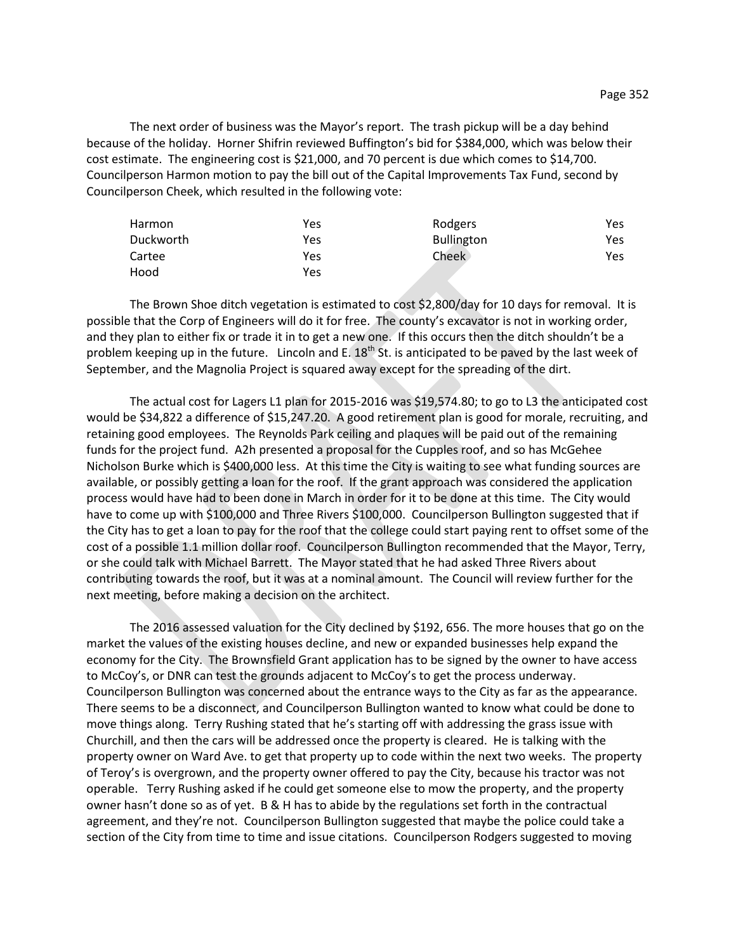The next order of business was the Mayor's report. The trash pickup will be a day behind because of the holiday. Horner Shifrin reviewed Buffington's bid for \$384,000, which was below their cost estimate. The engineering cost is \$21,000, and 70 percent is due which comes to \$14,700. Councilperson Harmon motion to pay the bill out of the Capital Improvements Tax Fund, second by Councilperson Cheek, which resulted in the following vote:

| Harmon    | Yes | Rodgers           | Yes. |
|-----------|-----|-------------------|------|
| Duckworth | Yes | <b>Bullington</b> | Yes  |
| Cartee    | Yes | <b>Cheek</b>      | Yes  |
| Hood      | Yes |                   |      |

The Brown Shoe ditch vegetation is estimated to cost \$2,800/day for 10 days for removal. It is possible that the Corp of Engineers will do it for free. The county's excavator is not in working order, and they plan to either fix or trade it in to get a new one. If this occurs then the ditch shouldn't be a problem keeping up in the future. Lincoln and E.  $18<sup>th</sup>$  St. is anticipated to be paved by the last week of September, and the Magnolia Project is squared away except for the spreading of the dirt.

The actual cost for Lagers L1 plan for 2015-2016 was \$19,574.80; to go to L3 the anticipated cost would be \$34,822 a difference of \$15,247.20. A good retirement plan is good for morale, recruiting, and retaining good employees. The Reynolds Park ceiling and plaques will be paid out of the remaining funds for the project fund. A2h presented a proposal for the Cupples roof, and so has McGehee Nicholson Burke which is \$400,000 less. At this time the City is waiting to see what funding sources are available, or possibly getting a loan for the roof. If the grant approach was considered the application process would have had to been done in March in order for it to be done at this time. The City would have to come up with \$100,000 and Three Rivers \$100,000. Councilperson Bullington suggested that if the City has to get a loan to pay for the roof that the college could start paying rent to offset some of the cost of a possible 1.1 million dollar roof. Councilperson Bullington recommended that the Mayor, Terry, or she could talk with Michael Barrett. The Mayor stated that he had asked Three Rivers about contributing towards the roof, but it was at a nominal amount. The Council will review further for the next meeting, before making a decision on the architect.

The 2016 assessed valuation for the City declined by \$192, 656. The more houses that go on the market the values of the existing houses decline, and new or expanded businesses help expand the economy for the City. The Brownsfield Grant application has to be signed by the owner to have access to McCoy's, or DNR can test the grounds adjacent to McCoy's to get the process underway. Councilperson Bullington was concerned about the entrance ways to the City as far as the appearance. There seems to be a disconnect, and Councilperson Bullington wanted to know what could be done to move things along. Terry Rushing stated that he's starting off with addressing the grass issue with Churchill, and then the cars will be addressed once the property is cleared. He is talking with the property owner on Ward Ave. to get that property up to code within the next two weeks. The property of Teroy's is overgrown, and the property owner offered to pay the City, because his tractor was not operable. Terry Rushing asked if he could get someone else to mow the property, and the property owner hasn't done so as of yet. B & H has to abide by the regulations set forth in the contractual agreement, and they're not. Councilperson Bullington suggested that maybe the police could take a section of the City from time to time and issue citations. Councilperson Rodgers suggested to moving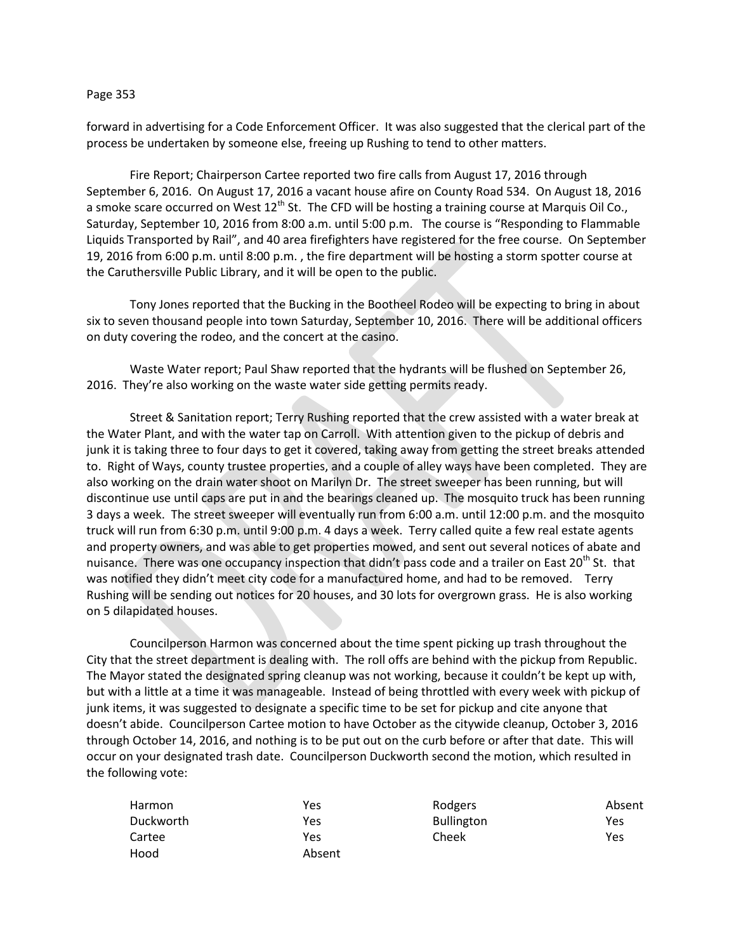## Page 353

forward in advertising for a Code Enforcement Officer. It was also suggested that the clerical part of the process be undertaken by someone else, freeing up Rushing to tend to other matters.

Fire Report; Chairperson Cartee reported two fire calls from August 17, 2016 through September 6, 2016. On August 17, 2016 a vacant house afire on County Road 534. On August 18, 2016 a smoke scare occurred on West  $12^{th}$  St. The CFD will be hosting a training course at Marquis Oil Co., Saturday, September 10, 2016 from 8:00 a.m. until 5:00 p.m. The course is "Responding to Flammable Liquids Transported by Rail", and 40 area firefighters have registered for the free course. On September 19, 2016 from 6:00 p.m. until 8:00 p.m. , the fire department will be hosting a storm spotter course at the Caruthersville Public Library, and it will be open to the public.

Tony Jones reported that the Bucking in the Bootheel Rodeo will be expecting to bring in about six to seven thousand people into town Saturday, September 10, 2016. There will be additional officers on duty covering the rodeo, and the concert at the casino.

Waste Water report; Paul Shaw reported that the hydrants will be flushed on September 26, 2016. They're also working on the waste water side getting permits ready.

Street & Sanitation report; Terry Rushing reported that the crew assisted with a water break at the Water Plant, and with the water tap on Carroll. With attention given to the pickup of debris and junk it is taking three to four days to get it covered, taking away from getting the street breaks attended to. Right of Ways, county trustee properties, and a couple of alley ways have been completed. They are also working on the drain water shoot on Marilyn Dr. The street sweeper has been running, but will discontinue use until caps are put in and the bearings cleaned up. The mosquito truck has been running 3 days a week. The street sweeper will eventually run from 6:00 a.m. until 12:00 p.m. and the mosquito truck will run from 6:30 p.m. until 9:00 p.m. 4 days a week. Terry called quite a few real estate agents and property owners, and was able to get properties mowed, and sent out several notices of abate and nuisance. There was one occupancy inspection that didn't pass code and a trailer on East 20<sup>th</sup> St. that was notified they didn't meet city code for a manufactured home, and had to be removed. Terry Rushing will be sending out notices for 20 houses, and 30 lots for overgrown grass. He is also working on 5 dilapidated houses.

Councilperson Harmon was concerned about the time spent picking up trash throughout the City that the street department is dealing with. The roll offs are behind with the pickup from Republic. The Mayor stated the designated spring cleanup was not working, because it couldn't be kept up with, but with a little at a time it was manageable. Instead of being throttled with every week with pickup of junk items, it was suggested to designate a specific time to be set for pickup and cite anyone that doesn't abide. Councilperson Cartee motion to have October as the citywide cleanup, October 3, 2016 through October 14, 2016, and nothing is to be put out on the curb before or after that date. This will occur on your designated trash date. Councilperson Duckworth second the motion, which resulted in the following vote:

| Harmon    | Yes    | Rodgers           | Absent |
|-----------|--------|-------------------|--------|
| Duckworth | Yes    | <b>Bullington</b> | Yes    |
| Cartee    | Yes    | Cheek             | Yes    |
| Hood      | Absent |                   |        |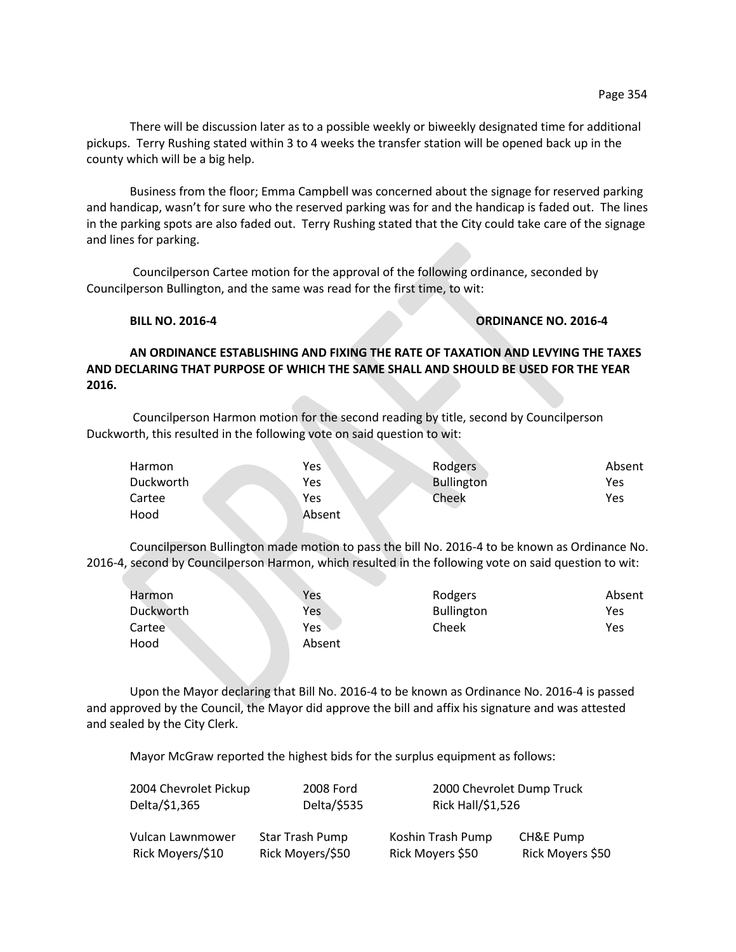Business from the floor; Emma Campbell was concerned about the signage for reserved parking and handicap, wasn't for sure who the reserved parking was for and the handicap is faded out. The lines in the parking spots are also faded out. Terry Rushing stated that the City could take care of the signage and lines for parking.

Councilperson Cartee motion for the approval of the following ordinance, seconded by Councilperson Bullington, and the same was read for the first time, to wit:

## **BILL NO. 2016-4 ORDINANCE NO. 2016-4**

**AN ORDINANCE ESTABLISHING AND FIXING THE RATE OF TAXATION AND LEVYING THE TAXES AND DECLARING THAT PURPOSE OF WHICH THE SAME SHALL AND SHOULD BE USED FOR THE YEAR 2016.**

Councilperson Harmon motion for the second reading by title, second by Councilperson Duckworth, this resulted in the following vote on said question to wit:

| Harmon    | Yes    | Rodgers           | Absent |
|-----------|--------|-------------------|--------|
| Duckworth | Yes    | <b>Bullington</b> | Yes    |
| Cartee    | Yes    | Cheek             | Yes    |
| Hood      | Absent |                   |        |

Councilperson Bullington made motion to pass the bill No. 2016-4 to be known as Ordinance No. 2016-4, second by Councilperson Harmon, which resulted in the following vote on said question to wit:

| Harmon    | Yes    | Rodgers           | Absent |
|-----------|--------|-------------------|--------|
| Duckworth | Yes    | <b>Bullington</b> | Yes    |
| Cartee    | Yes    | Cheek             | Yes    |
| Hood      | Absent |                   |        |
|           |        |                   |        |

Upon the Mayor declaring that Bill No. 2016-4 to be known as Ordinance No. 2016-4 is passed and approved by the Council, the Mayor did approve the bill and affix his signature and was attested and sealed by the City Clerk.

Mayor McGraw reported the highest bids for the surplus equipment as follows:

| 2004 Chevrolet Pickup<br>Delta/\$1,365 | 2008 Ford<br>Delta/\$535 | Rick Hall/\$1,526 | 2000 Chevrolet Dump Truck |
|----------------------------------------|--------------------------|-------------------|---------------------------|
| Vulcan Lawnmower                       | Star Trash Pump          | Koshin Trash Pump | CH&E Pump                 |
| Rick Moyers/\$10                       | Rick Moyers/\$50         | Rick Moyers \$50  | Rick Moyers \$50          |